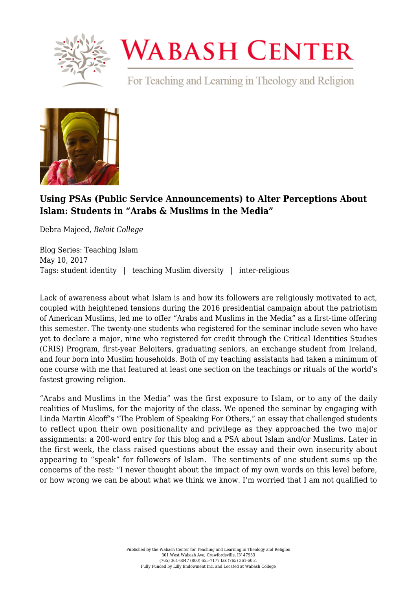

## **WABASH CENTER**

For Teaching and Learning in Theology and Religion



## **[Using PSAs \(Public Service Announcements\) to Alter Perceptions About](https://www.wabashcenter.wabash.edu/2017/05/using-psas-public-service-announcements-to-alter-perceptions-about-islam-students-in-arabs-muslims-in-the-media/) [Islam: Students in "Arabs & Muslims in the Media"](https://www.wabashcenter.wabash.edu/2017/05/using-psas-public-service-announcements-to-alter-perceptions-about-islam-students-in-arabs-muslims-in-the-media/)**

Debra Majeed, *Beloit College*

Blog Series: Teaching Islam May 10, 2017 Tags: student identity | teaching Muslim diversity | inter-religious

Lack of awareness about what Islam is and how its followers are religiously motivated to act, coupled with heightened tensions during the 2016 presidential campaign about the patriotism of American Muslims, led me to offer "Arabs and Muslims in the Media" as a first-time offering this semester. The twenty-one students who registered for the seminar include seven who have yet to declare a major, nine who registered for credit through the Critical Identities Studies (CRIS) Program, first-year Beloiters, graduating seniors, an exchange student from Ireland, and four born into Muslim households. Both of my teaching assistants had taken a minimum of one course with me that featured at least one section on the teachings or rituals of the world's fastest growing religion.

"Arabs and Muslims in the Media" was the first exposure to Islam, or to any of the daily realities of Muslims, for the majority of the class. We opened the seminar by engaging with Linda Martin Alcoff's "The Problem of Speaking For Others," an essay that challenged students to reflect upon their own positionality and privilege as they approached the two major assignments: a 200-word entry for this blog and a PSA about Islam and/or Muslims. Later in the first week, the class raised questions about the essay and their own insecurity about appearing to "speak" for followers of Islam. The sentiments of one student sums up the concerns of the rest: "I never thought about the impact of my own words on this level before, or how wrong we can be about what we think we know. I'm worried that I am not qualified to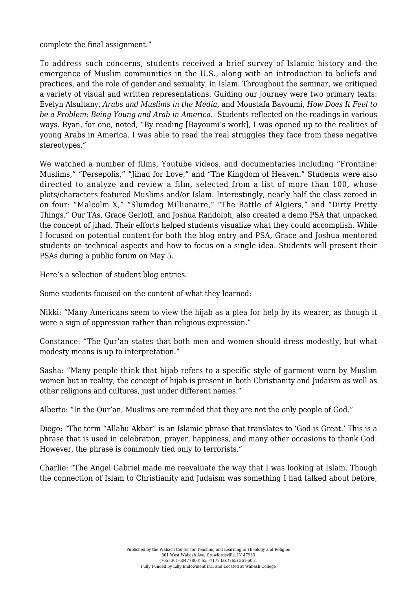## complete the final assignment."

To address such concerns, students received a brief survey of Islamic history and the emergence of Muslim communities in the U.S., along with an introduction to beliefs and practices, and the role of gender and sexuality, in Islam. Throughout the seminar, we critiqued a variety of visual and written representations. Guiding our journey were two primary texts: Evelyn Alsultany, *Arabs and Muslims in the Media*, and Moustafa Bayoumi, *How Does It Feel to be a Problem: Being Young and Arab in America*. Students reflected on the readings in various ways. Ryan, for one, noted, "By reading [Bayoumi's work], I was opened up to the realities of young Arabs in America. I was able to read the real struggles they face from these negative stereotypes."

We watched a number of films, Youtube videos, and documentaries including "Frontline: Muslims," "Persepolis," "Jihad for Love," and "The Kingdom of Heaven." Students were also directed to analyze and review a film, selected from a list of more than 100, whose plots/characters featured Muslims and/or Islam. Interestingly, nearly half the class zeroed in on four: "Malcolm X," "Slumdog Millionaire," "The Battle of Algiers," and "Dirty Pretty Things." Our TAs, Grace Gerloff, and Joshua Randolph, also created a demo PSA that unpacked the concept of jihad. Their efforts helped students visualize what they could accomplish. While I focused on potential content for both the blog entry and PSA, Grace and Joshua mentored students on technical aspects and how to focus on a single idea. Students will present their PSAs during a public forum on May 5.

Here's a selection of student blog entries.

Some students focused on the content of what they learned:

Nikki: "Many Americans seem to view the hijab as a plea for help by its wearer, as though it were a sign of oppression rather than religious expression."

Constance: "The Qur'an states that both men and women should dress modestly, but what modesty means is up to interpretation."

Sasha: "Many people think that hijab refers to a specific style of garment worn by Muslim women but in reality, the concept of hijab is present in both Christianity and Judaism as well as other religions and cultures, just under different names."

Alberto: "In the Qur'an, Muslims are reminded that they are not the only people of God."

Diego: "The term "Allahu Akbar" is an Islamic phrase that translates to 'God is Great.' This is a phrase that is used in celebration, prayer, happiness, and many other occasions to thank God. However, the phrase is commonly tied only to terrorists."

Charlie: "The Angel Gabriel made me reevaluate the way that I was looking at Islam. Though the connection of Islam to Christianity and Judaism was something I had talked about before,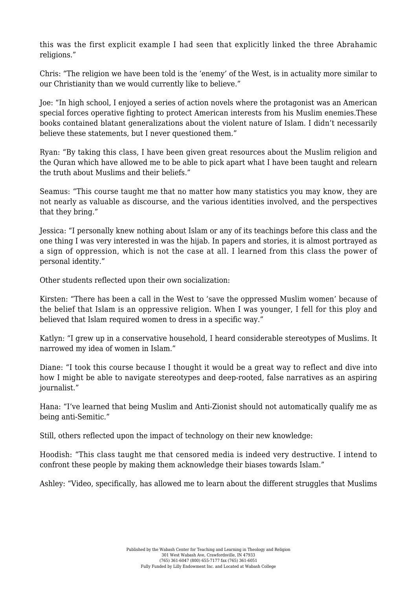this was the first explicit example I had seen that explicitly linked the three Abrahamic religions."

Chris: "The religion we have been told is the 'enemy' of the West, is in actuality more similar to our Christianity than we would currently like to believe."

Joe: "In high school, I enjoyed a series of action novels where the protagonist was an American special forces operative fighting to protect American interests from his Muslim enemies.These books contained blatant generalizations about the violent nature of Islam. I didn't necessarily believe these statements, but I never questioned them."

Ryan: "By taking this class, I have been given great resources about the Muslim religion and the Quran which have allowed me to be able to pick apart what I have been taught and relearn the truth about Muslims and their beliefs."

Seamus: "This course taught me that no matter how many statistics you may know, they are not nearly as valuable as discourse, and the various identities involved, and the perspectives that they bring."

Jessica: "I personally knew nothing about Islam or any of its teachings before this class and the one thing I was very interested in was the hijab. In papers and stories, it is almost portrayed as a sign of oppression, which is not the case at all. I learned from this class the power of personal identity."

Other students reflected upon their own socialization:

Kirsten: "There has been a call in the West to 'save the oppressed Muslim women' because of the belief that Islam is an oppressive religion. When I was younger, I fell for this ploy and believed that Islam required women to dress in a specific way."

Katlyn: "I grew up in a conservative household, I heard considerable stereotypes of Muslims. It narrowed my idea of women in Islam."

Diane: "I took this course because I thought it would be a great way to reflect and dive into how I might be able to navigate stereotypes and deep-rooted, false narratives as an aspiring journalist."

Hana: "I've learned that being Muslim and Anti-Zionist should not automatically qualify me as being anti-Semitic."

Still, others reflected upon the impact of technology on their new knowledge:

Hoodish: "This class taught me that censored media is indeed very destructive. I intend to confront these people by making them acknowledge their biases towards Islam."

Ashley: "Video, specifically, has allowed me to learn about the different struggles that Muslims